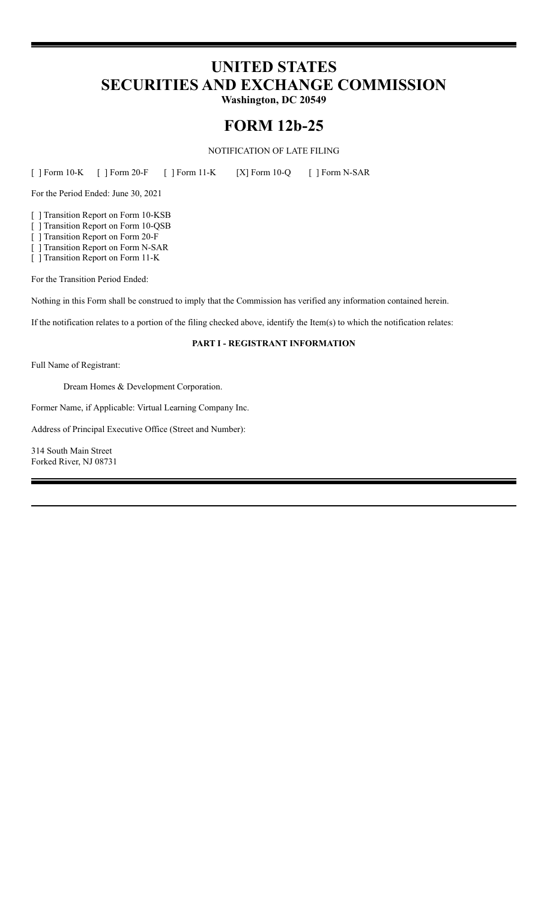# **UNITED STATES SECURITIES AND EXCHANGE COMMISSION**

**Washington, DC 20549**

# **FORM 12b-25**

NOTIFICATION OF LATE FILING

[ ] Form 10-K [ ] Form 20-F [ ] Form 11-K [X] Form 10-Q [ ] Form N-SAR

For the Period Ended: June 30, 2021

[ ] Transition Report on Form 10-KSB

[ ] Transition Report on Form 10-QSB

[ ] Transition Report on Form 20-F

[ ] Transition Report on Form N-SAR

[ ] Transition Report on Form 11-K

For the Transition Period Ended:

Nothing in this Form shall be construed to imply that the Commission has verified any information contained herein.

If the notification relates to a portion of the filing checked above, identify the Item(s) to which the notification relates:

## **PART I - REGISTRANT INFORMATION**

Full Name of Registrant:

Dream Homes & Development Corporation.

Former Name, if Applicable: Virtual Learning Company Inc.

Address of Principal Executive Office (Street and Number):

314 South Main Street Forked River, NJ 08731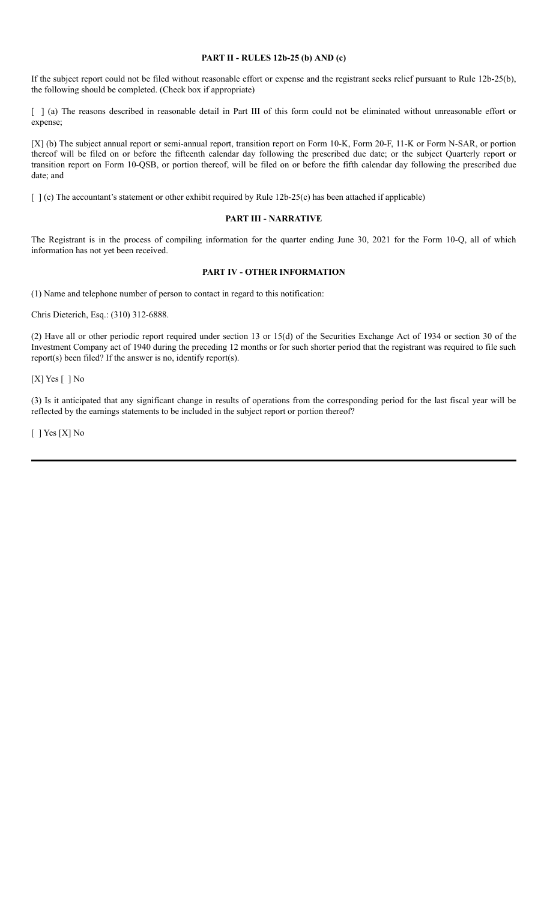### **PART II - RULES 12b-25 (b) AND (c)**

If the subject report could not be filed without reasonable effort or expense and the registrant seeks relief pursuant to Rule 12b-25(b), the following should be completed. (Check box if appropriate)

[ ] (a) The reasons described in reasonable detail in Part III of this form could not be eliminated without unreasonable effort or expense;

[X] (b) The subject annual report or semi-annual report, transition report on Form 10-K, Form 20-F, 11-K or Form N-SAR, or portion thereof will be filed on or before the fifteenth calendar day following the prescribed due date; or the subject Quarterly report or transition report on Form 10-QSB, or portion thereof, will be filed on or before the fifth calendar day following the prescribed due date; and

[ ] (c) The accountant's statement or other exhibit required by Rule 12b-25(c) has been attached if applicable)

#### **PART III - NARRATIVE**

The Registrant is in the process of compiling information for the quarter ending June 30, 2021 for the Form 10-Q, all of which information has not yet been received.

# **PART IV - OTHER INFORMATION**

(1) Name and telephone number of person to contact in regard to this notification:

Chris Dieterich, Esq.: (310) 312-6888.

(2) Have all or other periodic report required under section 13 or 15(d) of the Securities Exchange Act of 1934 or section 30 of the Investment Company act of 1940 during the preceding 12 months or for such shorter period that the registrant was required to file such report(s) been filed? If the answer is no, identify report(s).

[X] Yes [ ] No

(3) Is it anticipated that any significant change in results of operations from the corresponding period for the last fiscal year will be reflected by the earnings statements to be included in the subject report or portion thereof?

[ ] Yes [X] No